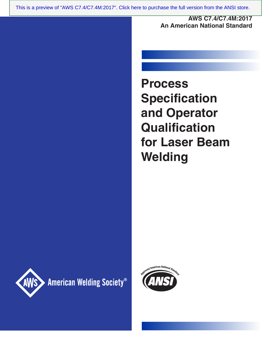## **AWS C7.4/C7.4M:2017 An American National Standard**

**Process Specification and Operator Qualification for Laser Beam Welding**



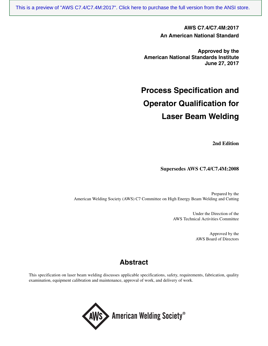**AWS C7.4/C7.4M:2017 An American National Standard**

**Approved by the American National Standards Institute June 27, 2017**

# **Process Specification and Operator Qualification for Laser Beam Welding**

**2nd Edition**

**Supersedes AWS C7.4/C7.4M:2008**

Prepared by the American Welding Society (AWS) C7 Committee on High Energy Beam Welding and Cutting

> Under the Direction of the AWS Technical Activities Committee

> > Approved by the AWS Board of Directors

## **Abstract**

This specification on laser beam welding discusses applicable specifications, safety, requirements, fabrication, quality examination, equipment calibration and maintenance, approval of work, and delivery of work.

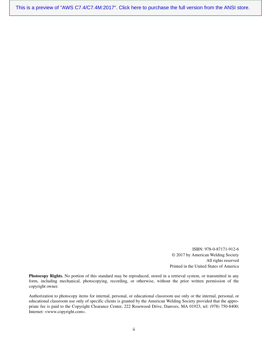AWS C7.4/C7.4M:2017

ISBN: 978-0-87171-912-6 © 2017 by American Welding Society All rights reserved Printed in the United States of America

**Photocopy Rights.** No portion of this standard may be reproduced, stored in a retrieval system, or transmitted in any form, including mechanical, photocopying, recording, or otherwise, without the prior written permission of the copyright owner.

Authorization to photocopy items for internal, personal, or educational classroom use only or the internal, personal, or educational classroom use only of specific clients is granted by the American Welding Society provided that the appropriate fee is paid to the Copyright Clearance Center, 222 Rosewood Drive, Danvers, MA 01923, tel: (978) 750-8400; Internet: <www.copyright.com».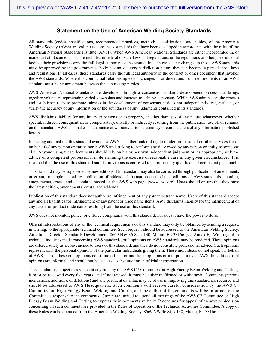### **Statement on the Use of American Welding Society Standards**

All standards (codes, specifications, recommended practices, methods, classifications, and guides) of the American Welding Society (AWS) are voluntary consensus standards that have been developed in accordance with the rules of the American National Standards Institute (ANSI). When AWS American National Standards are either incorporated in, or made part of, documents that are included in federal or state laws and regulations, or the regulations of other governmental bodies, their provisions carry the full legal authority of the statute. In such cases, any changes in those AWS standards must be approved by the governmental body having statutory jurisdiction before they can become a part of those laws and regulations. In all cases, these standards carry the full legal authority of the contract or other document that invokes the AWS standards. Where this contractual relationship exists, changes in or deviations from requirements of an AWS standard must be by agreement between the contracting parties.

AWS American National Standards are developed through a consensus standards development process that brings together volunteers representing varied viewpoints and interests to achieve consensus. While AWS administers the process and establishes rules to promote fairness in the development of consensus, it does not independently test, evaluate, or verify the accuracy of any information or the soundness of any judgments contained in its standards.

AWS disclaims liability for any injury to persons or to property, or other damages of any nature whatsoever, whether special, indirect, consequential, or compensatory, directly or indirectly resulting from the publication, use of, or reliance on this standard. AWS also makes no guarantee or warranty as to the accuracy or completeness of any information published herein.

In issuing and making this standard available, AWS is neither undertaking to render professional or other services for or on behalf of any person or entity, nor is AWS undertaking to perform any duty owed by any person or entity to someone else. Anyone using these documents should rely on his or her own independent judgment or, as appropriate, seek the advice of a competent professional in determining the exercise of reasonable care in any given circumstances. It is assumed that the use of this standard and its provisions is entrusted to appropriately qualified and competent personnel.

This standard may be superseded by new editions. This standard may also be corrected through publication of amendments or errata, or supplemented by publication of addenda. Information on the latest editions of AWS standards including amendments, errata, and addenda is posted on the AWS web page (www.aws.org). Users should ensure that they have the latest edition, amendments, errata, and addenda.

Publication of this standard does not authorize infringement of any patent or trade name. Users of this standard accept any and all liabilities for infringement of any patent or trade name items. AWS disclaims liability for the infringement of any patent or product trade name resulting from the use of this standard.

AWS does not monitor, police, or enforce compliance with this standard, nor does it have the power to do so.

Official interpretations of any of the technical requirements of this standard may only be obtained by sending a request, in writing, to the appropriate technical committee. Such requests should be addressed to the American Welding Society, Attention: Director, Standards Development, 8669 NW 36 St, # 130, Miami, FL 33166 (see Annex F). With regard to technical inquiries made concerning AWS standards, oral opinions on AWS standards may be rendered. These opinions are offered solely as a convenience to users of this standard, and they do not constitute professional advice. Such opinions represent only the personal opinions of the particular individuals giving them. These individuals do not speak on behalf of AWS, nor do these oral opinions constitute official or unofficial opinions or interpretations of AWS. In addition, oral opinions are informal and should not be used as a substitute for an official interpretation.

This standard is subject to revision at any time by the AWS C7 Committee on High Energy Beam Welding and Cutting. It must be reviewed every five years, and if not revised, it must be either reaffirmed or withdrawn. Comments (recommendations, additions, or deletions) and any pertinent data that may be of use in improving this standard are required and should be addressed to AWS Headquarters. Such comments will receive careful consideration by the AWS C7 Committee on High Energy Beam Welding and Cutting and the author of the comments will be informed of the Committee's response to the comments. Guests are invited to attend all meetings of the AWS C7 Committee on High Energy Beam Welding and Cutting to express their comments verbally. Procedures for appeal of an adverse decision concerning all such comments are provided in the Rules of Operation of the Technical Activities Committee. A copy of these Rules can be obtained from the American Welding Society, 8669 NW 36 St, # 130, Miami, FL 33166.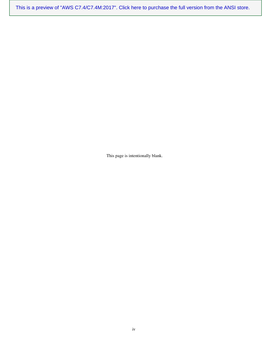AWS C7.4/C7.4M:2017

This page is intentionally blank.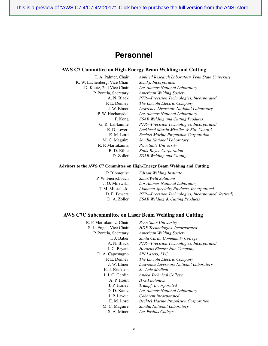## **Personnel**

### **AWS C7 Committee on High-Energy Beam Welding and Cutting**

| T. A. Palmer, Chair          | Applied Research Laboratory, Penn State University |
|------------------------------|----------------------------------------------------|
| K. W. Lachenberg, Vice Chair | Sciaky, Incorporated                               |
| D. Kautz, 2nd Vice Chair     | Los Alamos National Laboratory                     |
| P. Portela, Secretary        | American Welding Society                           |
| A. N. Black                  | PTR-Precision Technologies, Incorporated           |
| P. E. Denney                 | The Lincoln Electric Company                       |
| J. W. Elmer                  | Lawrence Livermore National Laboratory             |
| P. W. Hochanadel             | Los Alamos National Laboratory                     |
| F. Kong                      | <b>ESAB</b> Welding and Cutting Products           |
| G. R. LaFlamme               | PTR—Precision Technologies, Incorporated           |
| E. D. Levert                 | Lockheed Martin Missiles & Fire Control            |
| E. M. Lord                   | <b>Bechtel Marine Propulsion Corporation</b>       |
| M. C. Maguire                | Sandia National Laboratory                         |
| R. P. Martukanitz            | Penn State University                              |
| B. D. Ribic                  | Rolls-Royce Corporation                            |
| D. Zoller                    | <b>ESAB</b> Welding and Cutting                    |

#### **Advisors to the AWS C7 Committee on High-Energy Beam Welding and Cutting**

| P. Blomquist      | Edison Welding Institute                           |
|-------------------|----------------------------------------------------|
| P. W. Fuerschbach | <b>SmartWeld Solutions</b>                         |
| J. O. Milewski    | Los Alamos National Laboratory                     |
| T. M. Mustaleski  | Alabama Specialty Products, Incorporated           |
| D. E. Powers      | PTR-Precision Technologies, Incorporated (Retired) |
| D. A. Zoller      | <b>ESAB Welding &amp; Cutting Products</b>         |
|                   |                                                    |

### **AWS C7C Subcommittee on Laser Beam Welding and Cutting**

| R. P. Martukanitz, Chair | Penn State University                        |
|--------------------------|----------------------------------------------|
| S. L. Engel, Vice Chair  | HDE Technologies, Incorporated               |
| P. Portela, Secretary    | <b>American Welding Society</b>              |
| T. J. Baber              | Santa Carita Community College               |
| A. N. Black              | PTR-Precision Technologies, Incorporated     |
| J. C. Bryant             | Heraeus Electro-Nite Company                 |
| D. A. Capostagno         | <b>SPI</b> Lasers, LLC                       |
| P. E. Denney             | The Lincoln Electric Company                 |
| J. W. Elmer              | Lawrence Livermore National Laboratory       |
| K. J. Erickson           | <i>St. Jude Medical</i>                      |
| J. J. C. Gerdin          | Anoka Technical College                      |
| A. P. Hoult              | <b>IPG</b> Photonics                         |
| J. P. Hurley             | Trumpf, Incorporated                         |
| D. D. Kautz              | Los Alamos National Laboratory               |
| J. P. Lavoie             | Coherent Incorporated                        |
| E. M. Lord               | <b>Bechtel Marine Propulsion Corporation</b> |
| M. C. Maguire            | Sandia National Laboratory                   |
| S. A. Miner              | Las Positas College                          |
|                          |                                              |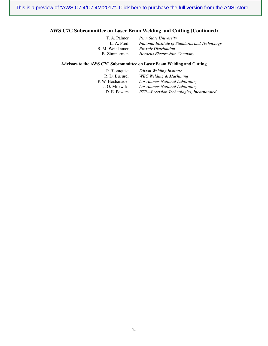### **AWS C7C Subcommittee on Laser Beam Welding and Cutting (Continued)**

| T. A. Palmer    | Penn State University                          |
|-----------------|------------------------------------------------|
| E. A. Pfeif     | National Institute of Standards and Technology |
| B. M. Weinkamer | <i>Praxair Distribution</i>                    |
| B. Zimmerman    | Heraeus Electro-Nite Company                   |

#### **Advisors to the AWS C7C Subcommittee on Laser Beam Welding and Cutting**

| P. Blomquist     | Edison Welding Institute                 |
|------------------|------------------------------------------|
| R. D. Bucurel    | <b>WEC</b> Welding & Machining           |
| P. W. Hochanadel | Los Alamos National Laboratory           |
| J. O. Milewski   | Los Alamos National Laboratory           |
| D. E. Powers     | PTR-Precision Technologies, Incorporated |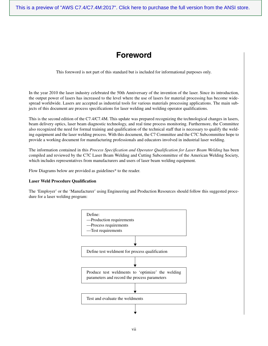## **Foreword**

This foreword is not part of this standard but is included for informational purposes only.

In the year 2010 the laser industry celebrated the 50th Anniversary of the invention of the laser. Since its introduction, the output power of lasers has increased to the level where the use of lasers for material processing has become widespread worldwide. Lasers are accepted as industrial tools for various materials processing applications. The main subjects of this document are process specifications for laser welding and welding operator qualifications.

This is the second edition of the C7.4/C7.4M. This update was prepared recognizing the technological changes in lasers, beam delivery optics, laser beam diagnostic technology, and real time process monitoring. Furthermore, the Committee also recognized the need for formal training and qualification of the technical staff that is necessary to qualify the welding equipment and the laser welding process. With this document, the C7 Committee and the C7C Subcommittee hope to provide a working document for manufacturing professionals and educators involved in industrial laser welding.

The information contained in this *Process Specification and Operator Qualification for Laser Beam Welding* has been compiled and reviewed by the C7C Laser Beam Welding and Cutting Subcommittee of the American Welding Society, which includes representatives from manufacturers and users of laser beam welding equipment.

Flow Diagrams below are provided as guidelines\* to the reader.

#### **Laser Weld Procedure Qualification**

The 'Employer' or the 'Manufacturer' using Engineering and Production Resources should follow this suggested procedure for a laser welding program:

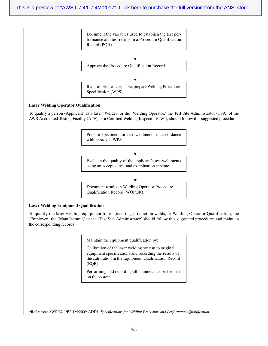

#### **Laser Welding Operator Qualification**

AWS C7.4/C7.4M:2017

To qualify a person (Applicant) as a laser 'Welder' or the 'Welding Operator,' the Test Site Administrator (TSA) of the AWS Accredited Testing Facility (ATF), or a Certified Welding Inspector (CWI), should follow this suggested procedure:



#### **Laser Welding Equipment Qualification**

To qualify the laser welding equipment for engineering, production welds, or Welding Operator Qualification, the 'Employer,' the 'Manufacturer,' or the 'Test Site Administrator' should follow this suggested procedures and maintain the corresponding records:

Maintain the equipment qualification by:

Calibration of the laser welding system to original equipment specifications and recording the results of the calibration in the Equipment Qualification Record (EQR)

Performing and recording all maintenance performed on the system

\*Reference: AWS B2.1/B2.1M:2009-ADD1, *Specifications for Welding Procedure and Performance Qualification*.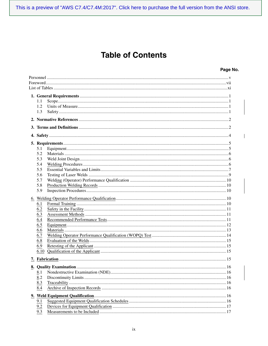# **Table of Contents**

| N٥<br>ade i |
|-------------|
|-------------|

 $\mathbf{I}$ 

| 1.1        |  |
|------------|--|
| 1.2        |  |
| 1.3        |  |
|            |  |
|            |  |
|            |  |
|            |  |
|            |  |
| 5.1        |  |
| 5.2        |  |
| 5.3        |  |
| 5.4        |  |
| 5.5        |  |
| 5.6        |  |
| 5.7        |  |
| 5.8        |  |
| 5.9        |  |
|            |  |
| 6.1        |  |
| 6.2        |  |
| 6.3        |  |
| 6.4        |  |
| 6.5        |  |
| 6.6        |  |
| 6.7        |  |
| 6.8        |  |
| 6.9        |  |
|            |  |
|            |  |
|            |  |
| 8.1        |  |
| 8.2        |  |
| 8.3        |  |
| 8.4        |  |
|            |  |
|            |  |
| 9.1        |  |
| 9.2<br>9.3 |  |
|            |  |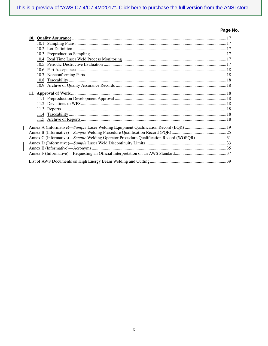## Page No.

| Annex C (Informative)—Sample Welding Operator Procedure Qualification Record (WOPQR) 31 |  |  |
|-----------------------------------------------------------------------------------------|--|--|
|                                                                                         |  |  |
|                                                                                         |  |  |
|                                                                                         |  |  |
|                                                                                         |  |  |

 $\begin{array}{c} \rule{0pt}{2ex} \rule{0pt}{2ex} \rule{0pt}{2ex} \rule{0pt}{2ex} \rule{0pt}{2ex} \rule{0pt}{2ex} \rule{0pt}{2ex} \rule{0pt}{2ex} \rule{0pt}{2ex} \rule{0pt}{2ex} \rule{0pt}{2ex} \rule{0pt}{2ex} \rule{0pt}{2ex} \rule{0pt}{2ex} \rule{0pt}{2ex} \rule{0pt}{2ex} \rule{0pt}{2ex} \rule{0pt}{2ex} \rule{0pt}{2ex} \rule{0pt}{2ex} \rule{0pt}{2ex} \rule{0pt}{2ex} \rule{0pt}{2ex} \rule{0pt}{$ 

 $\overline{\phantom{a}}$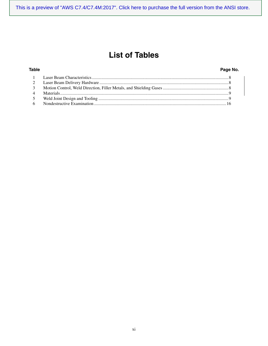# **List of Tables**

#### **Table**

### Page No.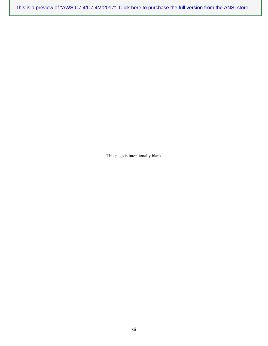AWS C7.4/C7.4M:2017

This page is intentionally blank.